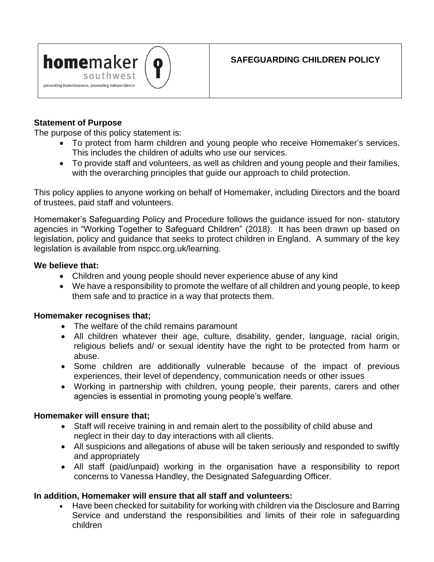

## **SAFEGUARDING CHILDREN POLICY**

## **Statement of Purpose**

The purpose of this policy statement is:

- To protect from harm children and young people who receive Homemaker's services. This includes the children of adults who use our services.
- To provide staff and volunteers, as well as children and young people and their families, with the overarching principles that guide our approach to child protection.

This policy applies to anyone working on behalf of Homemaker, including Directors and the board of trustees, paid staff and volunteers.

Homemaker's Safeguarding Policy and Procedure follows the guidance issued for non- statutory agencies in "Working Together to Safeguard Children" (2018). It has been drawn up based on legislation, policy and guidance that seeks to protect children in England. A summary of the key legislation is available from nspcc.org.uk/learning.

### **We believe that:**

- Children and young people should never experience abuse of any kind
- We have a responsibility to promote the welfare of all children and young people, to keep them safe and to practice in a way that protects them.

### **Homemaker recognises that;**

- The welfare of the child remains paramount
- All children whatever their age, culture, disability, gender, language, racial origin, religious beliefs and/ or sexual identity have the right to be protected from harm or abuse.
- Some children are additionally vulnerable because of the impact of previous experiences, their level of dependency, communication needs or other issues
- Working in partnership with children, young people, their parents, carers and other agencies is essential in promoting young people's welfare.

### **Homemaker will ensure that;**

- Staff will receive training in and remain alert to the possibility of child abuse and neglect in their day to day interactions with all clients.
- All suspicions and allegations of abuse will be taken seriously and responded to swiftly and appropriately
- All staff (paid/unpaid) working in the organisation have a responsibility to report concerns to Vanessa Handley, the Designated Safeguarding Officer.

## **In addition, Homemaker will ensure that all staff and volunteers:**

• Have been checked for suitability for working with children via the Disclosure and Barring Service and understand the responsibilities and limits of their role in safeguarding children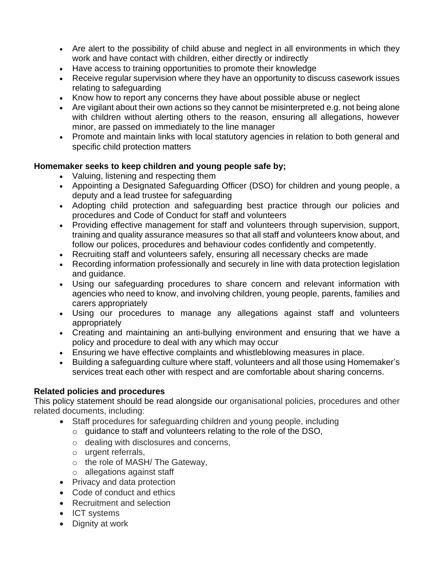- Are alert to the possibility of child abuse and neglect in all environments in which they work and have contact with children, either directly or indirectly
- Have access to training opportunities to promote their knowledge
- Receive regular supervision where they have an opportunity to discuss casework issues relating to safeguarding
- Know how to report any concerns they have about possible abuse or neglect
- Are vigilant about their own actions so they cannot be misinterpreted e.g. not being alone with children without alerting others to the reason, ensuring all allegations, however minor, are passed on immediately to the line manager
- Promote and maintain links with local statutory agencies in relation to both general and specific child protection matters

## **Homemaker seeks to keep children and young people safe by;**

- Valuing, listening and respecting them
- Appointing a Designated Safeguarding Officer (DSO) for children and young people, a deputy and a lead trustee for safeguarding
- Adopting child protection and safeguarding best practice through our policies and procedures and Code of Conduct for staff and volunteers
- Providing effective management for staff and volunteers through supervision, support, training and quality assurance measures so that all staff and volunteers know about, and follow our polices, procedures and behaviour codes confidently and competently.
- Recruiting staff and volunteers safely, ensuring all necessary checks are made
- Recording information professionally and securely in line with data protection legislation and guidance.
- Using our safeguarding procedures to share concern and relevant information with agencies who need to know, and involving children, young people, parents, families and carers appropriately
- Using our procedures to manage any allegations against staff and volunteers appropriately
- Creating and maintaining an anti-bullying environment and ensuring that we have a policy and procedure to deal with any which may occur
- Ensuring we have effective complaints and whistleblowing measures in place.
- Building a safeguarding culture where staff, volunteers and all those using Homemaker's services treat each other with respect and are comfortable about sharing concerns.

## **Related policies and procedures**

This policy statement should be read alongside our organisational policies, procedures and other related documents, including:

- Staff procedures for safeguarding children and young people, including
	- o guidance to staff and volunteers relating to the role of the DSO,
		- o dealing with disclosures and concerns,
		- o urgent referrals,
		- o the role of MASH/ The Gateway,
		- o allegations against staff
- Privacy and data protection
- Code of conduct and ethics
- Recruitment and selection
- ICT systems
- Dignity at work